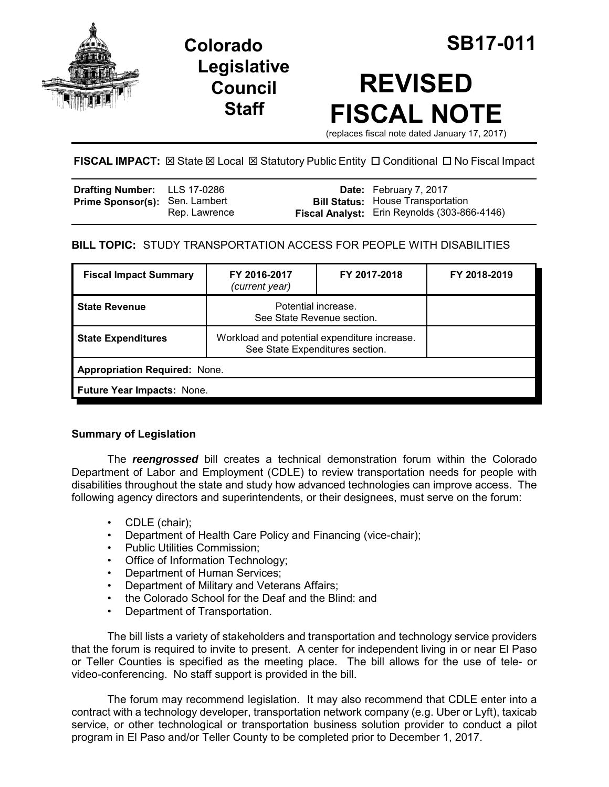

**Legislative Council Staff**

# **REVISED FISCAL NOTE**

(replaces fiscal note dated January 17, 2017)

**FISCAL IMPACT:**  $\boxtimes$  **State**  $\boxtimes$  **Local**  $\boxtimes$  **Statutory Public Entity □ Conditional □ No Fiscal Impact** 

| Drafting Number: LLS 17-0286          |               | <b>Date:</b> February 7, 2017                                                            |
|---------------------------------------|---------------|------------------------------------------------------------------------------------------|
| <b>Prime Sponsor(s): Sen. Lambert</b> | Rep. Lawrence | <b>Bill Status: House Transportation</b><br>Fiscal Analyst: Erin Reynolds (303-866-4146) |

# **BILL TOPIC:** STUDY TRANSPORTATION ACCESS FOR PEOPLE WITH DISABILITIES

| <b>Fiscal Impact Summary</b>         | FY 2016-2017<br>(current year)                                                  | FY 2017-2018 | FY 2018-2019 |  |  |  |
|--------------------------------------|---------------------------------------------------------------------------------|--------------|--------------|--|--|--|
| <b>State Revenue</b>                 | Potential increase.<br>See State Revenue section.                               |              |              |  |  |  |
| <b>State Expenditures</b>            | Workload and potential expenditure increase.<br>See State Expenditures section. |              |              |  |  |  |
| <b>Appropriation Required: None.</b> |                                                                                 |              |              |  |  |  |
| <b>Future Year Impacts: None.</b>    |                                                                                 |              |              |  |  |  |

# **Summary of Legislation**

The *reengrossed* bill creates a technical demonstration forum within the Colorado Department of Labor and Employment (CDLE) to review transportation needs for people with disabilities throughout the state and study how advanced technologies can improve access. The following agency directors and superintendents, or their designees, must serve on the forum:

- CDLE (chair);
- Department of Health Care Policy and Financing (vice-chair);
- Public Utilities Commission;
- Office of Information Technology;
- Department of Human Services;
- Department of Military and Veterans Affairs;
- the Colorado School for the Deaf and the Blind: and
- Department of Transportation.

The bill lists a variety of stakeholders and transportation and technology service providers that the forum is required to invite to present. A center for independent living in or near El Paso or Teller Counties is specified as the meeting place. The bill allows for the use of tele- or video-conferencing. No staff support is provided in the bill.

The forum may recommend legislation. It may also recommend that CDLE enter into a contract with a technology developer, transportation network company (e.g. Uber or Lyft), taxicab service, or other technological or transportation business solution provider to conduct a pilot program in El Paso and/or Teller County to be completed prior to December 1, 2017.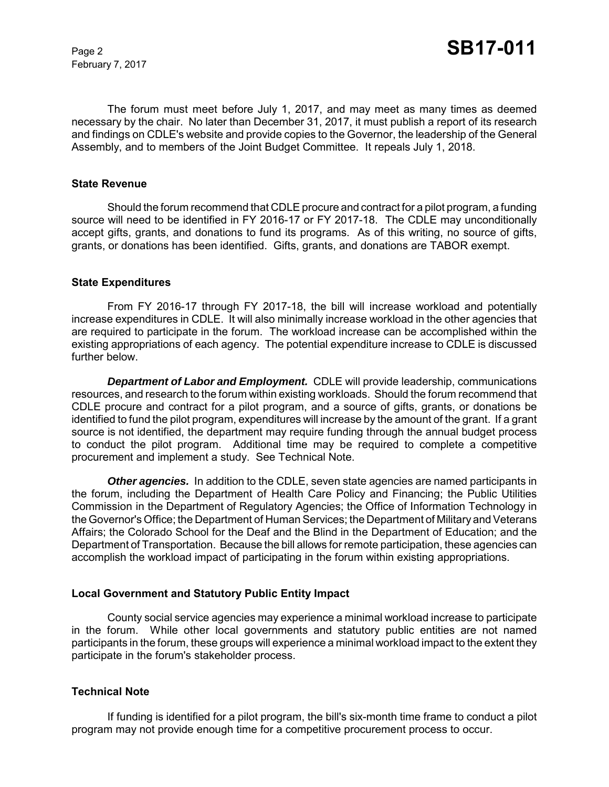February 7, 2017

The forum must meet before July 1, 2017, and may meet as many times as deemed necessary by the chair. No later than December 31, 2017, it must publish a report of its research and findings on CDLE's website and provide copies to the Governor, the leadership of the General Assembly, and to members of the Joint Budget Committee. It repeals July 1, 2018.

#### **State Revenue**

Should the forum recommend that CDLE procure and contract for a pilot program, a funding source will need to be identified in FY 2016-17 or FY 2017-18. The CDLE may unconditionally accept gifts, grants, and donations to fund its programs. As of this writing, no source of gifts, grants, or donations has been identified. Gifts, grants, and donations are TABOR exempt.

#### **State Expenditures**

From FY 2016-17 through FY 2017-18, the bill will increase workload and potentially increase expenditures in CDLE. It will also minimally increase workload in the other agencies that are required to participate in the forum. The workload increase can be accomplished within the existing appropriations of each agency. The potential expenditure increase to CDLE is discussed further below.

*Department of Labor and Employment.* CDLE will provide leadership, communications resources, and research to the forum within existing workloads. Should the forum recommend that CDLE procure and contract for a pilot program, and a source of gifts, grants, or donations be identified to fund the pilot program, expenditures will increase by the amount of the grant. If a grant source is not identified, the department may require funding through the annual budget process to conduct the pilot program. Additional time may be required to complete a competitive procurement and implement a study. See Technical Note.

**Other agencies.** In addition to the CDLE, seven state agencies are named participants in the forum, including the Department of Health Care Policy and Financing; the Public Utilities Commission in the Department of Regulatory Agencies; the Office of Information Technology in the Governor's Office; the Department of Human Services; the Department of Military and Veterans Affairs; the Colorado School for the Deaf and the Blind in the Department of Education; and the Department of Transportation. Because the bill allows for remote participation, these agencies can accomplish the workload impact of participating in the forum within existing appropriations.

#### **Local Government and Statutory Public Entity Impact**

County social service agencies may experience a minimal workload increase to participate in the forum. While other local governments and statutory public entities are not named participants in the forum, these groups will experience a minimal workload impact to the extent they participate in the forum's stakeholder process.

#### **Technical Note**

If funding is identified for a pilot program, the bill's six-month time frame to conduct a pilot program may not provide enough time for a competitive procurement process to occur.